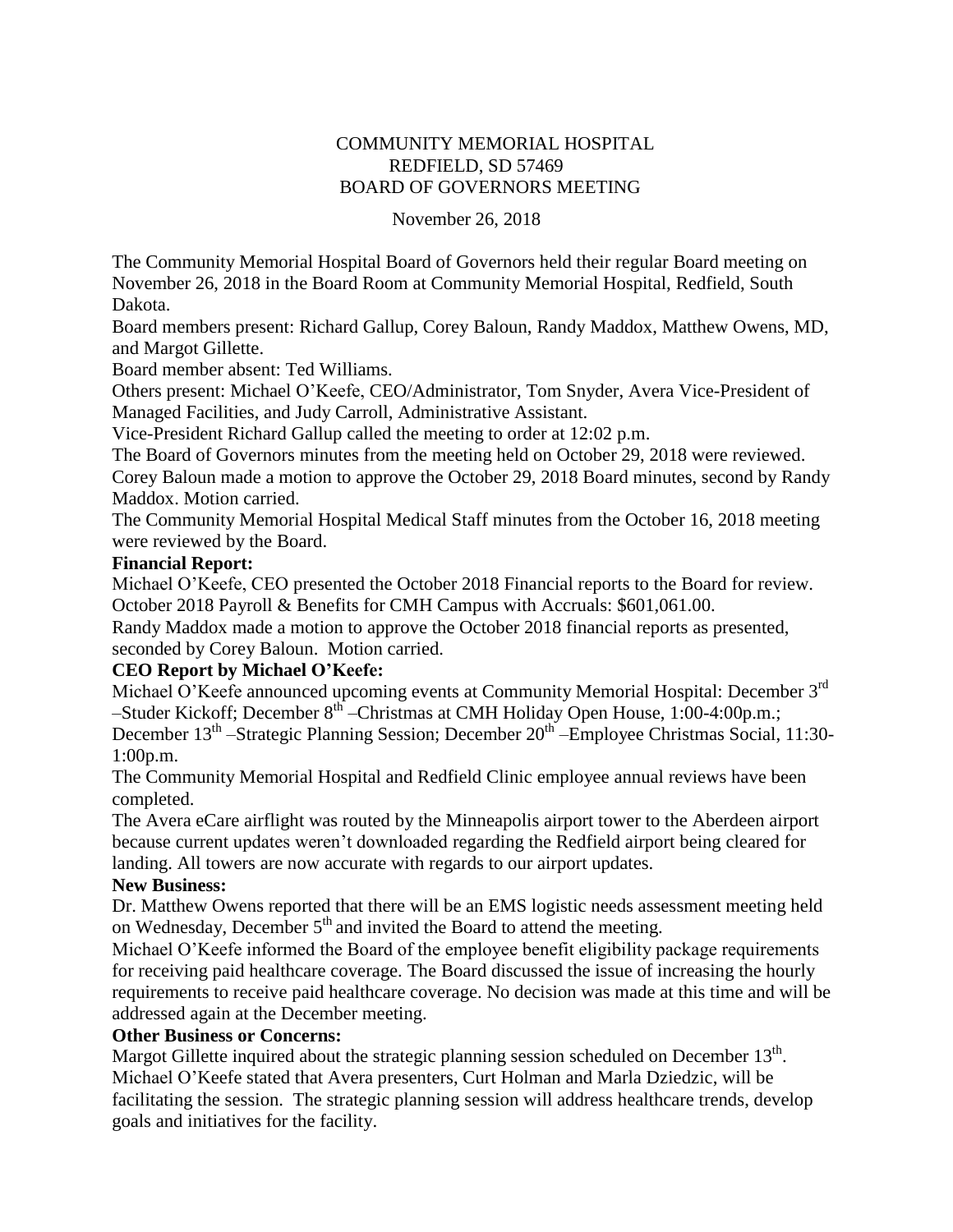# COMMUNITY MEMORIAL HOSPITAL REDFIELD, SD 57469 BOARD OF GOVERNORS MEETING

#### November 26, 2018

The Community Memorial Hospital Board of Governors held their regular Board meeting on November 26, 2018 in the Board Room at Community Memorial Hospital, Redfield, South Dakota.

Board members present: Richard Gallup, Corey Baloun, Randy Maddox, Matthew Owens, MD, and Margot Gillette.

Board member absent: Ted Williams.

Others present: Michael O'Keefe, CEO/Administrator, Tom Snyder, Avera Vice-President of Managed Facilities, and Judy Carroll, Administrative Assistant.

Vice-President Richard Gallup called the meeting to order at 12:02 p.m.

The Board of Governors minutes from the meeting held on October 29, 2018 were reviewed. Corey Baloun made a motion to approve the October 29, 2018 Board minutes, second by Randy

Maddox. Motion carried.

The Community Memorial Hospital Medical Staff minutes from the October 16, 2018 meeting were reviewed by the Board.

#### **Financial Report:**

Michael O'Keefe, CEO presented the October 2018 Financial reports to the Board for review. October 2018 Payroll & Benefits for CMH Campus with Accruals: \$601,061.00.

Randy Maddox made a motion to approve the October 2018 financial reports as presented, seconded by Corey Baloun. Motion carried.

#### **CEO Report by Michael O'Keefe:**

Michael O'Keefe announced upcoming events at Community Memorial Hospital: December 3<sup>rd</sup> –Studer Kickoff; December 8<sup>th</sup> – Christmas at CMH Holiday Open House, 1:00-4:00p.m.; December 13<sup>th</sup> –Strategic Planning Session; December 20<sup>th</sup> –Employee Christmas Social, 11:30-1:00p.m.

The Community Memorial Hospital and Redfield Clinic employee annual reviews have been completed.

The Avera eCare airflight was routed by the Minneapolis airport tower to the Aberdeen airport because current updates weren't downloaded regarding the Redfield airport being cleared for landing. All towers are now accurate with regards to our airport updates.

#### **New Business:**

Dr. Matthew Owens reported that there will be an EMS logistic needs assessment meeting held on Wednesday, December  $5<sup>th</sup>$  and invited the Board to attend the meeting.

Michael O'Keefe informed the Board of the employee benefit eligibility package requirements for receiving paid healthcare coverage. The Board discussed the issue of increasing the hourly requirements to receive paid healthcare coverage. No decision was made at this time and will be addressed again at the December meeting.

## **Other Business or Concerns:**

Margot Gillette inquired about the strategic planning session scheduled on December  $13<sup>th</sup>$ . Michael O'Keefe stated that Avera presenters, Curt Holman and Marla Dziedzic, will be facilitating the session. The strategic planning session will address healthcare trends, develop goals and initiatives for the facility.